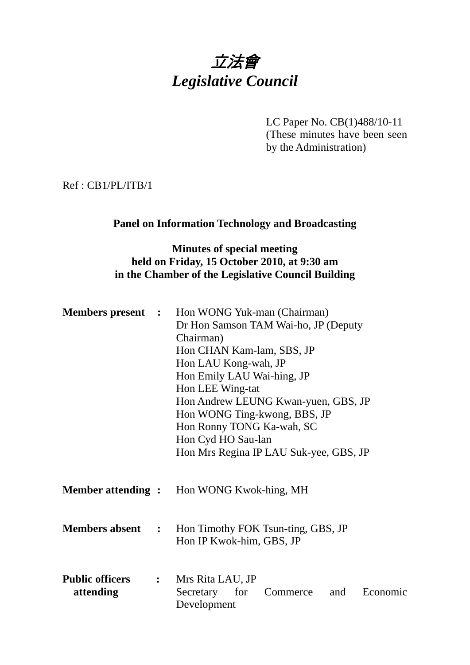# 立法會 *Legislative Council*

LC Paper No. CB(1)488/10-11 (These minutes have been seen by the Administration)

Ref : CB1/PL/ITB/1

#### **Panel on Information Technology and Broadcasting**

## **Minutes of special meeting held on Friday, 15 October 2010, at 9:30 am in the Chamber of the Legislative Council Building**

|                                     |              | <b>Members present</b> : Hon WONG Yuk-man (Chairman)<br>Dr Hon Samson TAM Wai-ho, JP (Deputy<br>Chairman)<br>Hon CHAN Kam-lam, SBS, JP<br>Hon LAU Kong-wah, JP<br>Hon Emily LAU Wai-hing, JP<br>Hon LEE Wing-tat<br>Hon Andrew LEUNG Kwan-yuen, GBS, JP<br>Hon WONG Ting-kwong, BBS, JP<br>Hon Ronny TONG Ka-wah, SC<br>Hon Cyd HO Sau-lan<br>Hon Mrs Regina IP LAU Suk-yee, GBS, JP |
|-------------------------------------|--------------|--------------------------------------------------------------------------------------------------------------------------------------------------------------------------------------------------------------------------------------------------------------------------------------------------------------------------------------------------------------------------------------|
|                                     |              | <b>Member attending :</b> Hon WONG Kwok-hing, MH                                                                                                                                                                                                                                                                                                                                     |
| <b>Members absent</b>               | $\mathbf{L}$ | Hon Timothy FOK Tsun-ting, GBS, JP<br>Hon IP Kwok-him, GBS, JP                                                                                                                                                                                                                                                                                                                       |
| <b>Public officers</b><br>attending |              | : Mrs Rita LAU, JP<br>Secretary for<br>and<br>Economic<br>Commerce<br>Development                                                                                                                                                                                                                                                                                                    |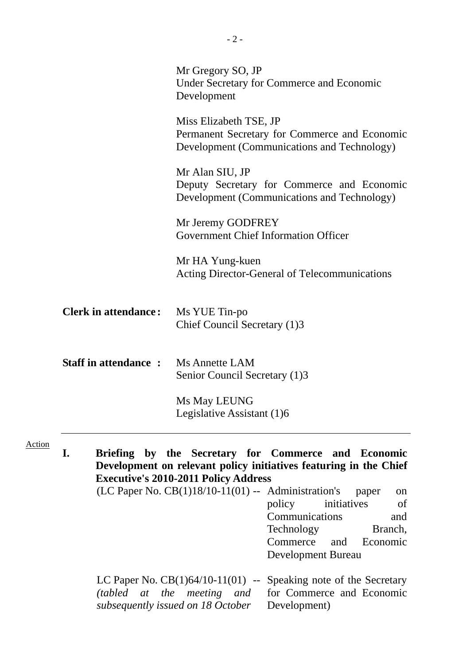|                             | Mr Gregory SO, JP<br><b>Under Secretary for Commerce and Economic</b><br>Development                                                                                                                       |
|-----------------------------|------------------------------------------------------------------------------------------------------------------------------------------------------------------------------------------------------------|
|                             | Miss Elizabeth TSE, JP<br>Permanent Secretary for Commerce and Economic<br>Development (Communications and Technology)                                                                                     |
|                             | Mr Alan SIU, JP<br>Deputy Secretary for Commerce and Economic<br>Development (Communications and Technology)                                                                                               |
|                             | Mr Jeremy GODFREY<br><b>Government Chief Information Officer</b>                                                                                                                                           |
|                             | Mr HA Yung-kuen<br><b>Acting Director-General of Telecommunications</b>                                                                                                                                    |
| <b>Clerk in attendance:</b> | Ms YUE Tin-po<br>Chief Council Secretary (1)3                                                                                                                                                              |
| <b>Staff in attendance:</b> | Ms Annette LAM<br>Senior Council Secretary (1)3                                                                                                                                                            |
|                             | Ms May LEUNG<br>Legislative Assistant (1)6                                                                                                                                                                 |
| I.                          | Briefing by the Secretary for Commerce and Economic<br>Development on relevant policy initiatives featuring in the Chief<br><b>Executive's 2010-2011 Policy Address</b>                                    |
|                             | (LC Paper No. $CB(1)18/10-11(01)$ -- Administration's<br>paper<br>on<br>policy<br>of<br>initiatives<br>Communications<br>and<br>Branch,<br>Technology<br>Commerce<br>Economic<br>and<br>Development Bureau |

LC Paper No. CB(1)64/10-11(01) *(tabled at the meeting and subsequently issued on 18 October*  -- Speaking note of the Secretary for Commerce and Economic Development)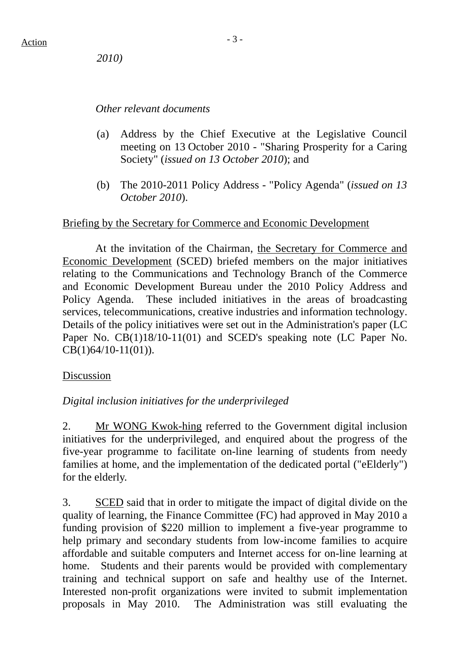*2010)*

#### *Other relevant documents*

- (a) Address by the Chief Executive at the Legislative Council meeting on 13 October 2010 - "Sharing Prosperity for a Caring Society" (*issued on 13 October 2010*); and
- (b) The 2010-2011 Policy Address "Policy Agenda" (*issued on 13 October 2010*).

#### Briefing by the Secretary for Commerce and Economic Development

 At the invitation of the Chairman, the Secretary for Commerce and Economic Development (SCED) briefed members on the major initiatives relating to the Communications and Technology Branch of the Commerce and Economic Development Bureau under the 2010 Policy Address and Policy Agenda. These included initiatives in the areas of broadcasting services, telecommunications, creative industries and information technology. Details of the policy initiatives were set out in the Administration's paper (LC Paper No. CB(1)18/10-11(01) and SCED's speaking note (LC Paper No. CB(1)64/10-11(01)).

#### Discussion

#### *Digital inclusion initiatives for the underprivileged*

2. Mr WONG Kwok-hing referred to the Government digital inclusion initiatives for the underprivileged, and enquired about the progress of the five-year programme to facilitate on-line learning of students from needy families at home, and the implementation of the dedicated portal ("eElderly") for the elderly.

3. SCED said that in order to mitigate the impact of digital divide on the quality of learning, the Finance Committee (FC) had approved in May 2010 a funding provision of \$220 million to implement a five-year programme to help primary and secondary students from low-income families to acquire affordable and suitable computers and Internet access for on-line learning at home. Students and their parents would be provided with complementary training and technical support on safe and healthy use of the Internet. Interested non-profit organizations were invited to submit implementation proposals in May 2010. The Administration was still evaluating the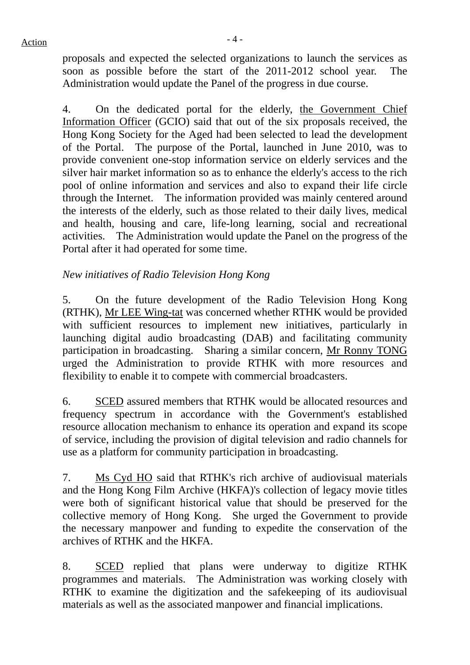$Action$ 

proposals and expected the selected organizations to launch the services as soon as possible before the start of the 2011-2012 school year. The Administration would update the Panel of the progress in due course.

4. On the dedicated portal for the elderly, the Government Chief Information Officer (GCIO) said that out of the six proposals received, the Hong Kong Society for the Aged had been selected to lead the development of the Portal. The purpose of the Portal, launched in June 2010, was to provide convenient one-stop information service on elderly services and the silver hair market information so as to enhance the elderly's access to the rich pool of online information and services and also to expand their life circle through the Internet. The information provided was mainly centered around the interests of the elderly, such as those related to their daily lives, medical and health, housing and care, life-long learning, social and recreational activities. The Administration would update the Panel on the progress of the Portal after it had operated for some time.

# *New initiatives of Radio Television Hong Kong*

5. On the future development of the Radio Television Hong Kong (RTHK), Mr LEE Wing-tat was concerned whether RTHK would be provided with sufficient resources to implement new initiatives, particularly in launching digital audio broadcasting (DAB) and facilitating community participation in broadcasting. Sharing a similar concern, Mr Ronny TONG urged the Administration to provide RTHK with more resources and flexibility to enable it to compete with commercial broadcasters.

6. SCED assured members that RTHK would be allocated resources and frequency spectrum in accordance with the Government's established resource allocation mechanism to enhance its operation and expand its scope of service, including the provision of digital television and radio channels for use as a platform for community participation in broadcasting.

7. Ms Cyd HO said that RTHK's rich archive of audiovisual materials and the Hong Kong Film Archive (HKFA)'s collection of legacy movie titles were both of significant historical value that should be preserved for the collective memory of Hong Kong. She urged the Government to provide the necessary manpower and funding to expedite the conservation of the archives of RTHK and the HKFA.

8. SCED replied that plans were underway to digitize RTHK programmes and materials. The Administration was working closely with RTHK to examine the digitization and the safekeeping of its audiovisual materials as well as the associated manpower and financial implications.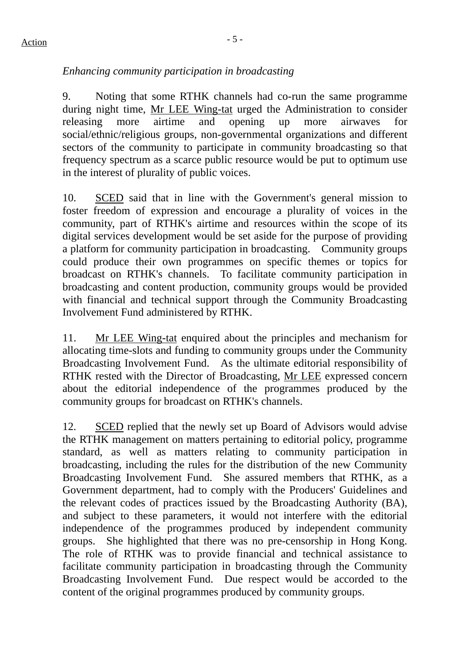# $Action$

## *Enhancing community participation in broadcasting*

9. Noting that some RTHK channels had co-run the same programme during night time, Mr LEE Wing-tat urged the Administration to consider releasing more airtime and opening up more airwaves for social/ethnic/religious groups, non-governmental organizations and different sectors of the community to participate in community broadcasting so that frequency spectrum as a scarce public resource would be put to optimum use in the interest of plurality of public voices.

10. SCED said that in line with the Government's general mission to foster freedom of expression and encourage a plurality of voices in the community, part of RTHK's airtime and resources within the scope of its digital services development would be set aside for the purpose of providing a platform for community participation in broadcasting. Community groups could produce their own programmes on specific themes or topics for broadcast on RTHK's channels. To facilitate community participation in broadcasting and content production, community groups would be provided with financial and technical support through the Community Broadcasting Involvement Fund administered by RTHK.

11. Mr LEE Wing-tat enquired about the principles and mechanism for allocating time-slots and funding to community groups under the Community Broadcasting Involvement Fund. As the ultimate editorial responsibility of RTHK rested with the Director of Broadcasting, Mr LEE expressed concern about the editorial independence of the programmes produced by the community groups for broadcast on RTHK's channels.

12. SCED replied that the newly set up Board of Advisors would advise the RTHK management on matters pertaining to editorial policy, programme standard, as well as matters relating to community participation in broadcasting, including the rules for the distribution of the new Community Broadcasting Involvement Fund. She assured members that RTHK, as a Government department, had to comply with the Producers' Guidelines and the relevant codes of practices issued by the Broadcasting Authority (BA), and subject to these parameters, it would not interfere with the editorial independence of the programmes produced by independent community groups. She highlighted that there was no pre-censorship in Hong Kong. The role of RTHK was to provide financial and technical assistance to facilitate community participation in broadcasting through the Community Broadcasting Involvement Fund. Due respect would be accorded to the content of the original programmes produced by community groups.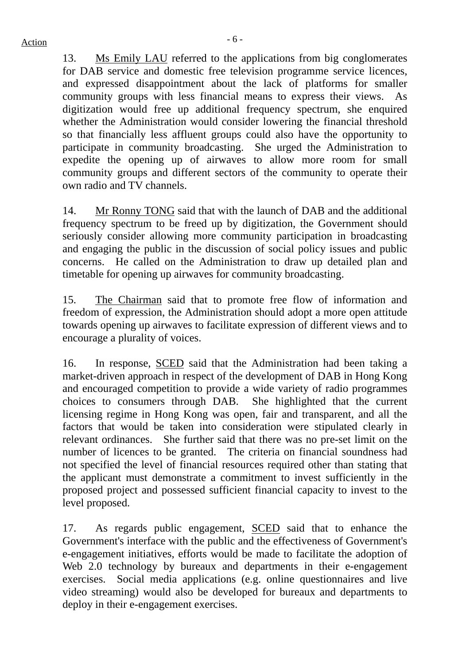13. Ms Emily LAU referred to the applications from big conglomerates for DAB service and domestic free television programme service licences, and expressed disappointment about the lack of platforms for smaller community groups with less financial means to express their views. As digitization would free up additional frequency spectrum, she enquired whether the Administration would consider lowering the financial threshold so that financially less affluent groups could also have the opportunity to participate in community broadcasting. She urged the Administration to expedite the opening up of airwaves to allow more room for small community groups and different sectors of the community to operate their own radio and TV channels.

14. Mr Ronny TONG said that with the launch of DAB and the additional frequency spectrum to be freed up by digitization, the Government should seriously consider allowing more community participation in broadcasting and engaging the public in the discussion of social policy issues and public concerns. He called on the Administration to draw up detailed plan and timetable for opening up airwaves for community broadcasting.

15. The Chairman said that to promote free flow of information and freedom of expression, the Administration should adopt a more open attitude towards opening up airwaves to facilitate expression of different views and to encourage a plurality of voices.

16. In response, SCED said that the Administration had been taking a market-driven approach in respect of the development of DAB in Hong Kong and encouraged competition to provide a wide variety of radio programmes choices to consumers through DAB. She highlighted that the current licensing regime in Hong Kong was open, fair and transparent, and all the factors that would be taken into consideration were stipulated clearly in relevant ordinances. She further said that there was no pre-set limit on the number of licences to be granted. The criteria on financial soundness had not specified the level of financial resources required other than stating that the applicant must demonstrate a commitment to invest sufficiently in the proposed project and possessed sufficient financial capacity to invest to the level proposed.

17. As regards public engagement, SCED said that to enhance the Government's interface with the public and the effectiveness of Government's e-engagement initiatives, efforts would be made to facilitate the adoption of Web 2.0 technology by bureaux and departments in their e-engagement exercises. Social media applications (e.g. online questionnaires and live video streaming) would also be developed for bureaux and departments to deploy in their e-engagement exercises.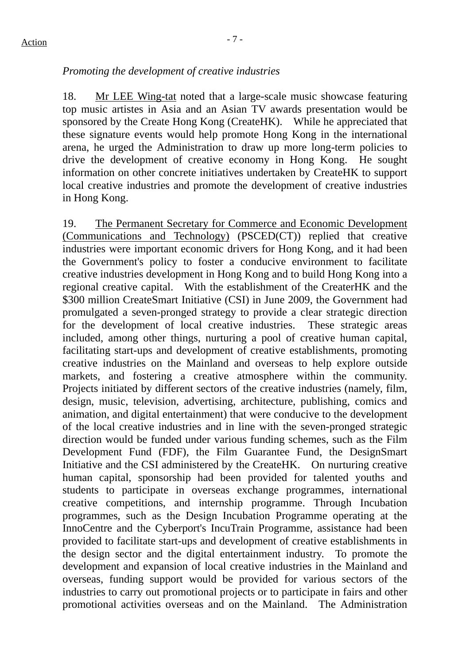# $Action$

## *Promoting the development of creative industries*

18. Mr LEE Wing-tat noted that a large-scale music showcase featuring top music artistes in Asia and an Asian TV awards presentation would be sponsored by the Create Hong Kong (CreateHK). While he appreciated that these signature events would help promote Hong Kong in the international arena, he urged the Administration to draw up more long-term policies to drive the development of creative economy in Hong Kong. He sought information on other concrete initiatives undertaken by CreateHK to support local creative industries and promote the development of creative industries in Hong Kong.

19. The Permanent Secretary for Commerce and Economic Development (Communications and Technology) (PSCED(CT)) replied that creative industries were important economic drivers for Hong Kong, and it had been the Government's policy to foster a conducive environment to facilitate creative industries development in Hong Kong and to build Hong Kong into a regional creative capital. With the establishment of the CreaterHK and the \$300 million CreateSmart Initiative (CSI) in June 2009, the Government had promulgated a seven-pronged strategy to provide a clear strategic direction for the development of local creative industries. These strategic areas included, among other things, nurturing a pool of creative human capital, facilitating start-ups and development of creative establishments, promoting creative industries on the Mainland and overseas to help explore outside markets, and fostering a creative atmosphere within the community. Projects initiated by different sectors of the creative industries (namely, film, design, music, television, advertising, architecture, publishing, comics and animation, and digital entertainment) that were conducive to the development of the local creative industries and in line with the seven-pronged strategic direction would be funded under various funding schemes, such as the Film Development Fund (FDF), the Film Guarantee Fund, the DesignSmart Initiative and the CSI administered by the CreateHK. On nurturing creative human capital, sponsorship had been provided for talented youths and students to participate in overseas exchange programmes, international creative competitions, and internship programme. Through Incubation programmes, such as the Design Incubation Programme operating at the InnoCentre and the Cyberport's IncuTrain Programme, assistance had been provided to facilitate start-ups and development of creative establishments in the design sector and the digital entertainment industry. To promote the development and expansion of local creative industries in the Mainland and overseas, funding support would be provided for various sectors of the industries to carry out promotional projects or to participate in fairs and other promotional activities overseas and on the Mainland. The Administration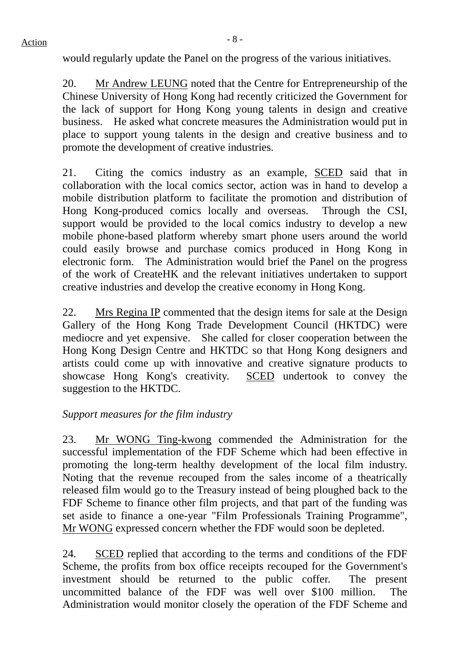20. Mr Andrew LEUNG noted that the Centre for Entrepreneurship of the Chinese University of Hong Kong had recently criticized the Government for the lack of support for Hong Kong young talents in design and creative business. He asked what concrete measures the Administration would put in place to support young talents in the design and creative business and to promote the development of creative industries.

21. Citing the comics industry as an example, SCED said that in collaboration with the local comics sector, action was in hand to develop a mobile distribution platform to facilitate the promotion and distribution of Hong Kong-produced comics locally and overseas. Through the CSI, support would be provided to the local comics industry to develop a new mobile phone-based platform whereby smart phone users around the world could easily browse and purchase comics produced in Hong Kong in electronic form. The Administration would brief the Panel on the progress of the work of CreateHK and the relevant initiatives undertaken to support creative industries and develop the creative economy in Hong Kong.

22. Mrs Regina IP commented that the design items for sale at the Design Gallery of the Hong Kong Trade Development Council (HKTDC) were mediocre and yet expensive. She called for closer cooperation between the Hong Kong Design Centre and HKTDC so that Hong Kong designers and artists could come up with innovative and creative signature products to showcase Hong Kong's creativity. SCED undertook to convey the suggestion to the HKTDC.

# *Support measures for the film industry*

23. Mr WONG Ting-kwong commended the Administration for the successful implementation of the FDF Scheme which had been effective in promoting the long-term healthy development of the local film industry. Noting that the revenue recouped from the sales income of a theatrically released film would go to the Treasury instead of being ploughed back to the FDF Scheme to finance other film projects, and that part of the funding was set aside to finance a one-year "Film Professionals Training Programme", Mr WONG expressed concern whether the FDF would soon be depleted.

24. SCED replied that according to the terms and conditions of the FDF Scheme, the profits from box office receipts recouped for the Government's investment should be returned to the public coffer. The present uncommitted balance of the FDF was well over \$100 million. The Administration would monitor closely the operation of the FDF Scheme and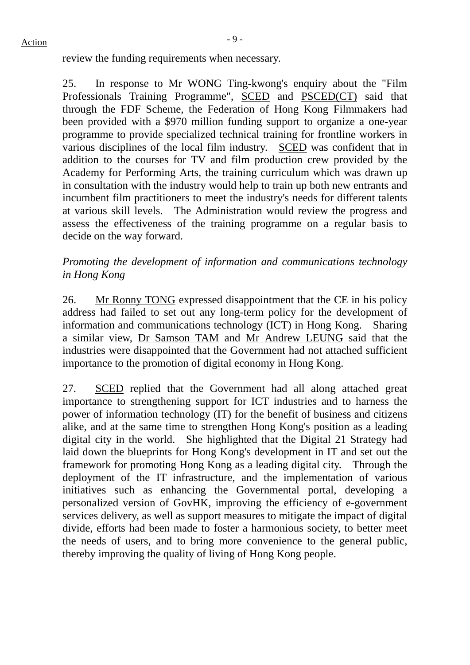review the funding requirements when necessary.

25. In response to Mr WONG Ting-kwong's enquiry about the "Film Professionals Training Programme", SCED and PSCED(CT) said that through the FDF Scheme, the Federation of Hong Kong Filmmakers had been provided with a \$970 million funding support to organize a one-year programme to provide specialized technical training for frontline workers in various disciplines of the local film industry. SCED was confident that in addition to the courses for TV and film production crew provided by the Academy for Performing Arts, the training curriculum which was drawn up in consultation with the industry would help to train up both new entrants and incumbent film practitioners to meet the industry's needs for different talents at various skill levels. The Administration would review the progress and assess the effectiveness of the training programme on a regular basis to decide on the way forward.

## *Promoting the development of information and communications technology in Hong Kong*

26. Mr Ronny TONG expressed disappointment that the CE in his policy address had failed to set out any long-term policy for the development of information and communications technology (ICT) in Hong Kong. Sharing a similar view, Dr Samson TAM and Mr Andrew LEUNG said that the industries were disappointed that the Government had not attached sufficient importance to the promotion of digital economy in Hong Kong.

27. SCED replied that the Government had all along attached great importance to strengthening support for ICT industries and to harness the power of information technology (IT) for the benefit of business and citizens alike, and at the same time to strengthen Hong Kong's position as a leading digital city in the world. She highlighted that the Digital 21 Strategy had laid down the blueprints for Hong Kong's development in IT and set out the framework for promoting Hong Kong as a leading digital city. Through the deployment of the IT infrastructure, and the implementation of various initiatives such as enhancing the Governmental portal, developing a personalized version of GovHK, improving the efficiency of e-government services delivery, as well as support measures to mitigate the impact of digital divide, efforts had been made to foster a harmonious society, to better meet the needs of users, and to bring more convenience to the general public, thereby improving the quality of living of Hong Kong people.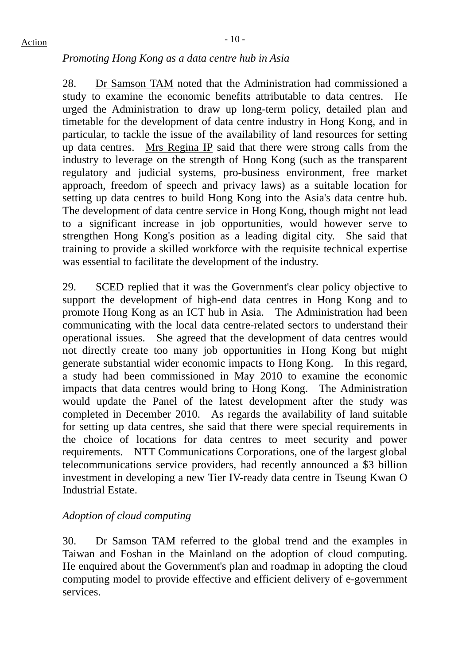#### *Promoting Hong Kong as a data centre hub in Asia*

28. Dr Samson TAM noted that the Administration had commissioned a study to examine the economic benefits attributable to data centres. He urged the Administration to draw up long-term policy, detailed plan and timetable for the development of data centre industry in Hong Kong, and in particular, to tackle the issue of the availability of land resources for setting up data centres. Mrs Regina IP said that there were strong calls from the industry to leverage on the strength of Hong Kong (such as the transparent regulatory and judicial systems, pro-business environment, free market approach, freedom of speech and privacy laws) as a suitable location for setting up data centres to build Hong Kong into the Asia's data centre hub. The development of data centre service in Hong Kong, though might not lead to a significant increase in job opportunities, would however serve to strengthen Hong Kong's position as a leading digital city. She said that training to provide a skilled workforce with the requisite technical expertise was essential to facilitate the development of the industry.

29. SCED replied that it was the Government's clear policy objective to support the development of high-end data centres in Hong Kong and to promote Hong Kong as an ICT hub in Asia. The Administration had been communicating with the local data centre-related sectors to understand their operational issues. She agreed that the development of data centres would not directly create too many job opportunities in Hong Kong but might generate substantial wider economic impacts to Hong Kong. In this regard, a study had been commissioned in May 2010 to examine the economic impacts that data centres would bring to Hong Kong. The Administration would update the Panel of the latest development after the study was completed in December 2010. As regards the availability of land suitable for setting up data centres, she said that there were special requirements in the choice of locations for data centres to meet security and power requirements. NTT Communications Corporations, one of the largest global telecommunications service providers, had recently announced a \$3 billion investment in developing a new Tier IV-ready data centre in Tseung Kwan O Industrial Estate.

# *Adoption of cloud computing*

30. Dr Samson TAM referred to the global trend and the examples in Taiwan and Foshan in the Mainland on the adoption of cloud computing. He enquired about the Government's plan and roadmap in adopting the cloud computing model to provide effective and efficient delivery of e-government services.